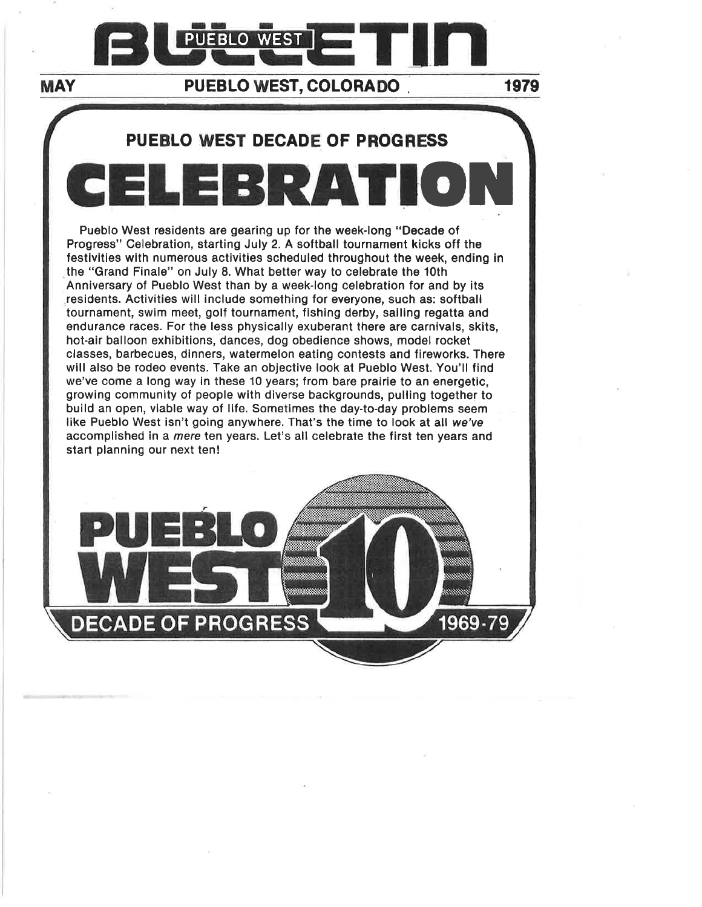

## MAY PUEBLO WEST, COLORADO . 1979

1969-79

## PUEBLO WEST DECADE OF PROGRESS

CEtEBRATIO]I Pueblo West residents are gearing up for the week-long "Decade of Progress" Celebration, starting July 2. A softball tournament kicks off the festivities with numerous activities scheduled throughout the week, ending in the "Grand Finale" on July 8. What better way to celebrate the 10th Anniversary of Pueblo West than by a week-long celebration for and by its residents. Activities will include something for everyone, such as: softball tournament, swim meet, golf tournament, fishing derby, sailing regatta and endurance races. For the less physically exuberant there are carnivals, skits, hot-air balloon exhibitions, dances, dog obedience shows, model rocket classes, barbecues, dinners, watermelon eating contests and fireworks. There will also be rodeo events. Take an objective look at Pueblo West. You'll find we've come a long way in these 10 years; from bare prairie to an energetic, growing community of people with diverse backgrounds, pulling together to build an open, viable way of life. Sometimes the day-to-day problems seem like Pueblo West isn't going anywhere. That's the time to look at all we'ye accomplished in a mere ten years. Let's all celebrate the first ten years and start planning our next ten!

PUEBI'o

**DECADE OF PROGRESS**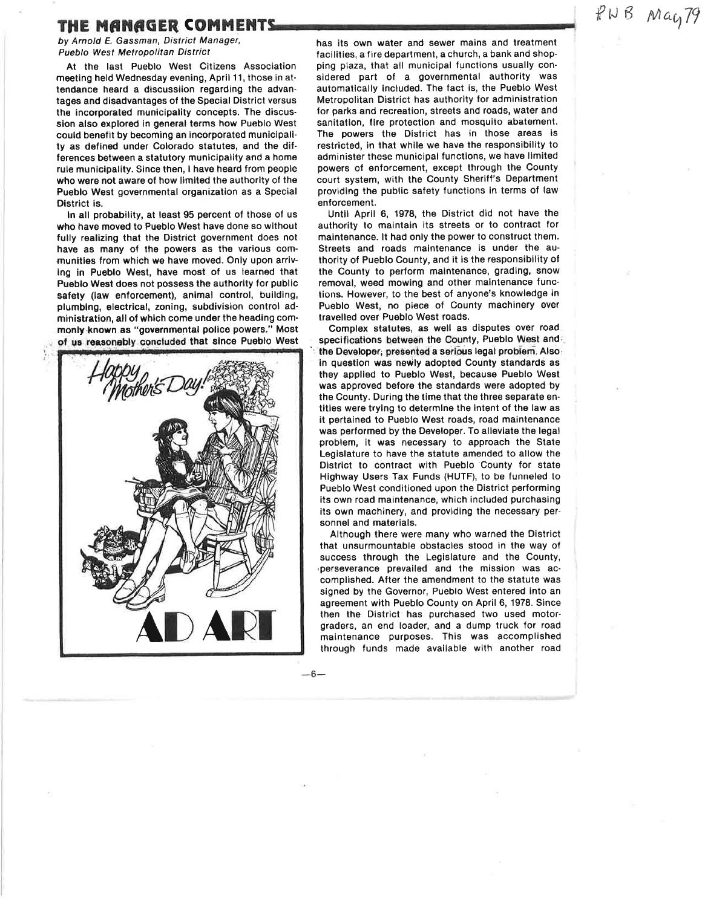# THE MANAGER COMMENTS FINE MARGER COMMENTS

by Arnold E. Gassman, District Manager, Pueblo West Metropolitan District

At the last Pueblo West Citizens Association meeting held Wednesday evening, April 11, those in attendance heard a discussiion regarding the advantages and disadvantages of the Special District versus the incorporated municipality concepts. The discussion also explored in general terms how Pueblo West could benefit by becoming an incorporated municipali' ty as defined under Colorado statutes, and the differences between a statutory municipality and a home rule municipality. Since then, I have heard from people who were not aware of how limited the authority of the Pueblo West governmental organization as a Special District is.

In all probability, at least 95 percent of those of us who have moved to Pueblo West have done so without fully realizing that the District government does not have as many of the powers as the various comrnunities from which we have moved. Only upon arriving in Pueblo West, have most of us learned that Pueblo West does not possess the authority for public safety (law enforcement), animal control, building, plumbing, electrical, zoning, subdivision control ad' mlnistration, all of which come under the heading commonly known as "governmental police powers." Most of us reasonably concluded that since Pueblo West



has its own water and sewer mains and treatment facilities, a fire department, a church, a bank and shopping plaza, that all municipal functions usually considered part of a governmental authority was automatically included. The fact is, the Pueblo West Metropolitan District has authority for administration for parks and recreation, streets and roads, water and sanitation, fire protection and mosquito abatement. fhe powers the District has in those areas is restricted, in that while we have the responsibility to administer these municipal functions, we have limited powers of enforcement, except through the County court system, with the Gounty Sheriff's Department providing the public satety functions in terms of law enforcement.

Until April 6, 1978, the District did not have the authority to maintain its streets or to contract for maintenance. lt had only the power to construct them. Streets and roads maintenance is under the authority of Pueblo County, and it is the responsibility of the County to perform maintenance, grading, snow removal, weed mowing and other maintenance func' tions. However, to the best of anyone's knowledge in Pueblo West, no piece of County machinery ever travelled over Pueblo West roads.

Complex statutes, as well as disputes over roadspecifications between the County, Pueblo West and the Developer, presented a serious legal problem. Also: in question was newly adopted County standards as they applied to Pueblo West, because Pueblo West was approved before the standards were adopted by the County. During the time that the three separate entities were trying to determine the intent of the law as it pertained to Pueblo West roads, road maintenance was performed by the Developer. To alleviate the legal problem, it was necessary to approach the State Legislature to have the statute amended to allow the District to contract with Pueblo County for state Highway Users Tax Funds (HUTF), to be funneled to Pueblo West conditioned upon the District performing its own road maintenance, which included purchasing its own machinery, and providing the necessary personnel and materials.

Although there were many who warned the District that unsurmountable obstacles stood in the way of success through the Legislature and the County, ,perseverance prevailed and the mission was accomplished. After the amendment to the statute was signed by the Governor, Pueblo West entered into an agreement with Pueblo County on April 6, 1978. Since then the District has purchased two used motorgraders, an end loader, and a dump truck for road maintenance purposes. This was accomplished through funds made available with another road

 $-6-$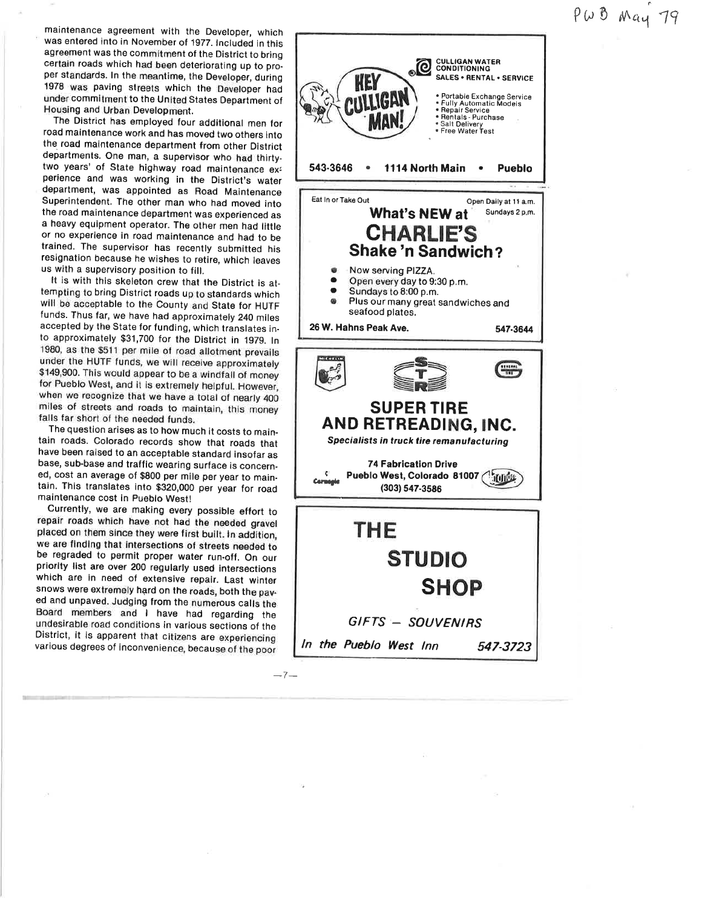# $P\omega$   $\beta$  May 79

maintenance agreement with the Developer, which was entered into in November of 1977. Included in this agreement was the commitment of the District to bring certain roads which had been deteriorating up to pro\_ per standards. In the meantime, the Developer, during 1978 was paving streets which the Developer had under commitment to the United States Department of Housing and Urban Development.

The District has employed four additional men for road maintenance work and has moved two others into the road maintenance department from other District departments. One man, a supervisor who had thirtytwo years' of State highway road maintenance ex: perience and was working in the District's water department, was appointed as Road Maintenance Superintendent. The other man who had moved into the road maintenance department was experienced as a heavy equipment operator. The other men had litile or no experience in road maintenance and had to be trained. The supervisor has recently submitted his resignation because he wishes to retire, which leaves us with a supervisory position to fill.

It is with this skeleton crew that the District is attempting to bring District roads up to standards which will be acceptable to the County and State for HUTF funds. Thus far, we have had approximately 240 miles accepted by the State for funding, which translates into approximately 931,700 for the District in 1979. ln 1980, as the \$511 per mile of road allotment prevails under the HUTF funds, we will receive approximately \$149,900. This would appear to be a windfall of money for Pueblo West, and it is extremely helpful. However, when we recognize that we have a total of nearly <sup>400</sup> miles of streets and roads to maintain, this money falls far short of the needed funds.

The question arises as to how much it costs to main\_ tain roads. Colorado records show that roads that have been raised to an acceptable standard insofar as base, sub-base and traffic wearing surface is concern\_ ed, cost an average of \$800 per mile per year to maintain. This translates into \$320,000 per year for road maintenance cost in pueblo West!

Currently, we are making every possible effort to repair roads which have not had the needed gravel placed on them since they were first built. ln addition, be regraded to permit proper water run-off. On our priority list are over 200 regularly used intersections which are in need of extensive repair. Last winter snows were extremely hard on the roads, both the paved and unpaved. Judging from the numerous calls the Board members and I have had regarding the undesirable road conditions in various sections of the District, it is apparent that citizens are experiencing various degrees of inconvenience, because of the poor